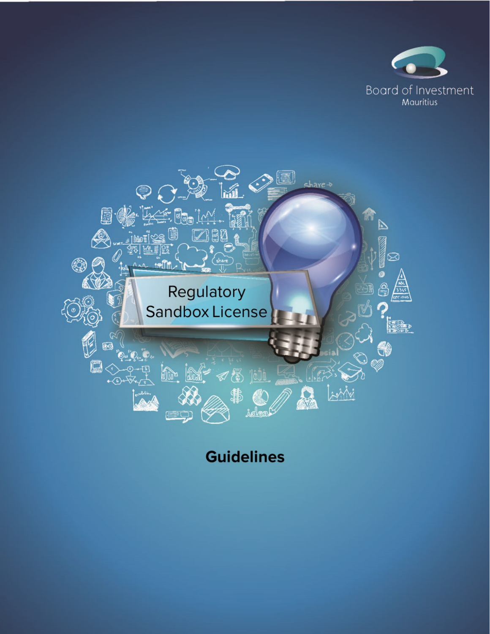



**Guidelines**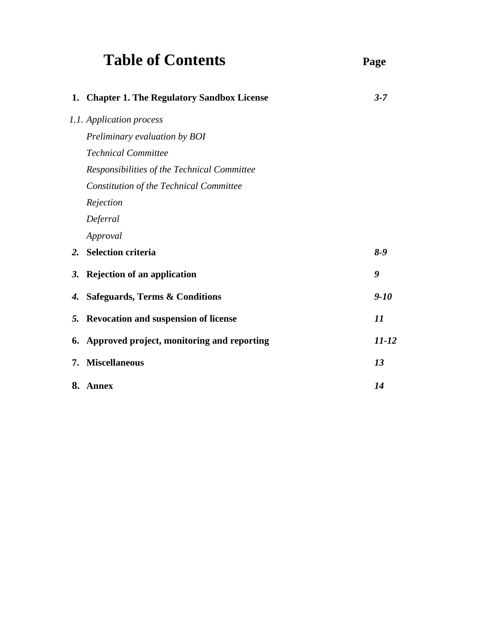# Table of Contents Page

|    | 1. Chapter 1. The Regulatory Sandbox License | $3 - 7$   |
|----|----------------------------------------------|-----------|
|    | 1.1. Application process                     |           |
|    | Preliminary evaluation by BOI                |           |
|    | <b>Technical Committee</b>                   |           |
|    | Responsibilities of the Technical Committee  |           |
|    | Constitution of the Technical Committee      |           |
|    | Rejection                                    |           |
|    | Deferral                                     |           |
|    | Approval                                     |           |
| 2. | <b>Selection criteria</b>                    | $8 - 9$   |
| 3. | <b>Rejection of an application</b>           | 9         |
| 4. | <b>Safeguards, Terms &amp; Conditions</b>    | $9-10$    |
| 5. | <b>Revocation and suspension of license</b>  | 11        |
| 6. | Approved project, monitoring and reporting   | $11 - 12$ |
| 7. | <b>Miscellaneous</b>                         | 13        |
|    | 8. Annex                                     | 14        |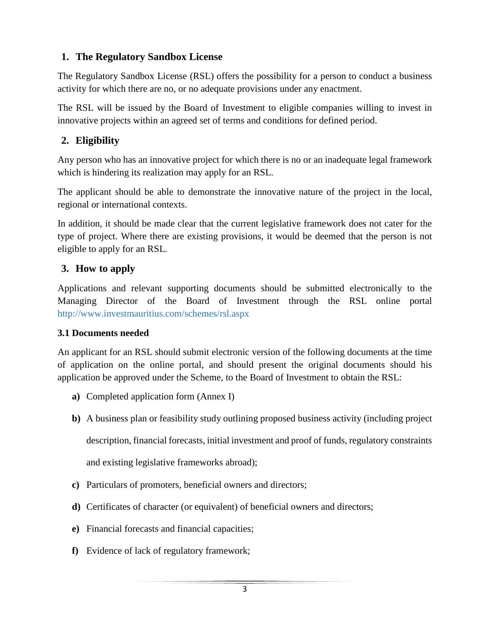## **1. The Regulatory Sandbox License**

The Regulatory Sandbox License (RSL) offers the possibility for a person to conduct a business activity for which there are no, or no adequate provisions under any enactment.

The RSL will be issued by the Board of Investment to eligible companies willing to invest in innovative projects within an agreed set of terms and conditions for defined period.

## **2. Eligibility**

Any person who has an innovative project for which there is no or an inadequate legal framework which is hindering its realization may apply for an RSL.

The applicant should be able to demonstrate the innovative nature of the project in the local, regional or international contexts.

In addition, it should be made clear that the current legislative framework does not cater for the type of project. Where there are existing provisions, it would be deemed that the person is not eligible to apply for an RSL.

## **3. How to apply**

Applications and relevant supporting documents should be submitted electronically to the Managing Director of the Board of Investment through the RSL online portal http://www.investmauritius.com/schemes/rsl.aspx

#### **3.1 Documents needed**

An applicant for an RSL should submit electronic version of the following documents at the time of application on the online portal, and should present the original documents should his application be approved under the Scheme, to the Board of Investment to obtain the RSL:

- **a)** Completed application form (Annex I)
- **b)** A business plan or feasibility study outlining proposed business activity (including project

description, financial forecasts, initial investment and proof of funds, regulatory constraints

and existing legislative frameworks abroad);

- **c)** Particulars of promoters, beneficial owners and directors;
- **d)** Certificates of character (or equivalent) of beneficial owners and directors;
- **e)** Financial forecasts and financial capacities;
- **f)** Evidence of lack of regulatory framework;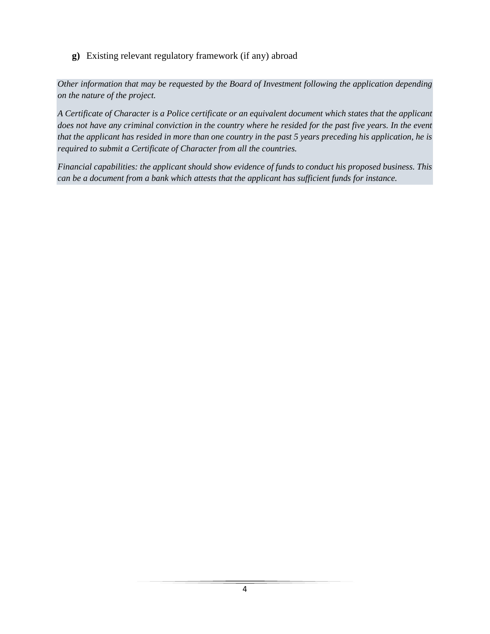**g)** Existing relevant regulatory framework (if any) abroad

*Other information that may be requested by the Board of Investment following the application depending on the nature of the project.*

*A Certificate of Character is a Police certificate or an equivalent document which states that the applicant does not have any criminal conviction in the country where he resided for the past five years. In the event that the applicant has resided in more than one country in the past 5 years preceding his application, he is required to submit a Certificate of Character from all the countries.*

*Financial capabilities: the applicant should show evidence of funds to conduct his proposed business. This can be a document from a bank which attests that the applicant has sufficient funds for instance.*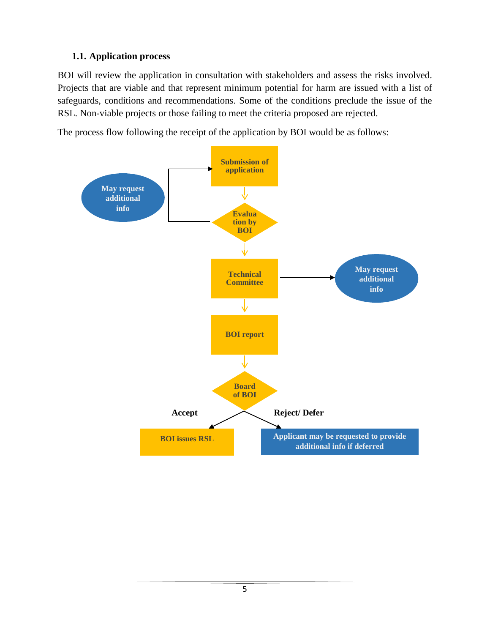## **1.1. Application process**

BOI will review the application in consultation with stakeholders and assess the risks involved. Projects that are viable and that represent minimum potential for harm are issued with a list of safeguards, conditions and recommendations. Some of the conditions preclude the issue of the RSL. Non-viable projects or those failing to meet the criteria proposed are rejected.

The process flow following the receipt of the application by BOI would be as follows:

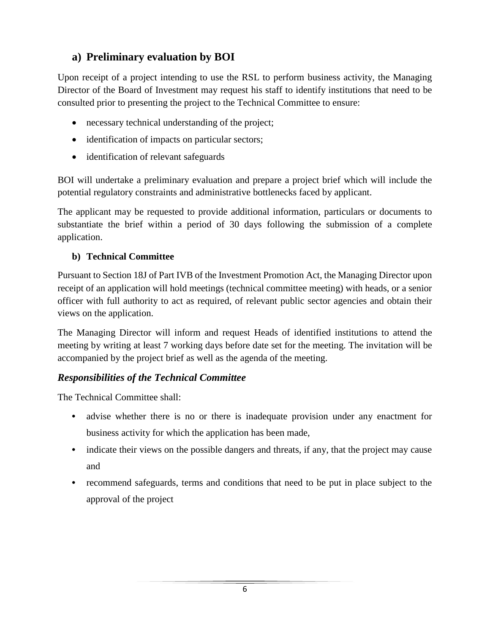# **a) Preliminary evaluation by BOI**

Upon receipt of a project intending to use the RSL to perform business activity, the Managing Director of the Board of Investment may request his staff to identify institutions that need to be consulted prior to presenting the project to the Technical Committee to ensure:

- necessary technical understanding of the project;
- identification of impacts on particular sectors;
- identification of relevant safeguards

BOI will undertake a preliminary evaluation and prepare a project brief which will include the potential regulatory constraints and administrative bottlenecks faced by applicant.

The applicant may be requested to provide additional information, particulars or documents to substantiate the brief within a period of 30 days following the submission of a complete application.

#### **b) Technical Committee**

Pursuant to Section 18J of Part IVB of the Investment Promotion Act, the Managing Director upon receipt of an application will hold meetings (technical committee meeting) with heads, or a senior officer with full authority to act as required, of relevant public sector agencies and obtain their views on the application.

The Managing Director will inform and request Heads of identified institutions to attend the meeting by writing at least 7 working days before date set for the meeting. The invitation will be accompanied by the project brief as well as the agenda of the meeting.

## *Responsibilities of the Technical Committee*

The Technical Committee shall:

- **•** advise whether there is no or there is inadequate provision under any enactment for business activity for which the application has been made,
- indicate their views on the possible dangers and threats, if any, that the project may cause and
- **•** recommend safeguards, terms and conditions that need to be put in place subject to the approval of the project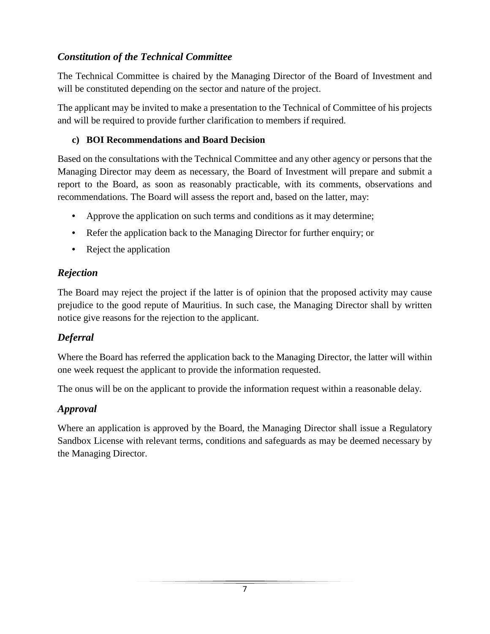## *Constitution of the Technical Committee*

The Technical Committee is chaired by the Managing Director of the Board of Investment and will be constituted depending on the sector and nature of the project.

The applicant may be invited to make a presentation to the Technical of Committee of his projects and will be required to provide further clarification to members if required.

#### **c) BOI Recommendations and Board Decision**

Based on the consultations with the Technical Committee and any other agency or persons that the Managing Director may deem as necessary, the Board of Investment will prepare and submit a report to the Board, as soon as reasonably practicable, with its comments, observations and recommendations. The Board will assess the report and, based on the latter, may:

- Approve the application on such terms and conditions as it may determine;
- Refer the application back to the Managing Director for further enquiry; or
- Reject the application

## *Rejection*

The Board may reject the project if the latter is of opinion that the proposed activity may cause prejudice to the good repute of Mauritius. In such case, the Managing Director shall by written notice give reasons for the rejection to the applicant.

## *Deferral*

Where the Board has referred the application back to the Managing Director, the latter will within one week request the applicant to provide the information requested.

The onus will be on the applicant to provide the information request within a reasonable delay.

## *Approval*

Where an application is approved by the Board, the Managing Director shall issue a Regulatory Sandbox License with relevant terms, conditions and safeguards as may be deemed necessary by the Managing Director.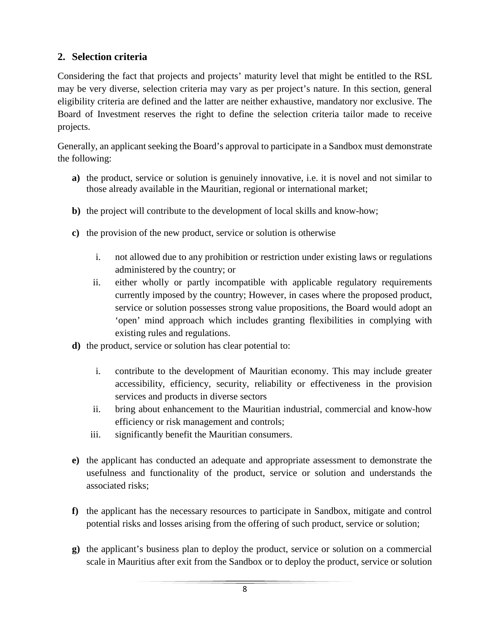## **2. Selection criteria**

Considering the fact that projects and projects' maturity level that might be entitled to the RSL may be very diverse, selection criteria may vary as per project's nature. In this section, general eligibility criteria are defined and the latter are neither exhaustive, mandatory nor exclusive. The Board of Investment reserves the right to define the selection criteria tailor made to receive projects.

Generally, an applicant seeking the Board's approval to participate in a Sandbox must demonstrate the following:

- **a)** the product, service or solution is genuinely innovative, i.e. it is novel and not similar to those already available in the Mauritian, regional or international market;
- **b)** the project will contribute to the development of local skills and know-how;
- **c)** the provision of the new product, service or solution is otherwise
	- i. not allowed due to any prohibition or restriction under existing laws or regulations administered by the country; or
	- ii. either wholly or partly incompatible with applicable regulatory requirements currently imposed by the country; However, in cases where the proposed product, service or solution possesses strong value propositions, the Board would adopt an 'open' mind approach which includes granting flexibilities in complying with existing rules and regulations.
- **d)** the product, service or solution has clear potential to:
	- i. contribute to the development of Mauritian economy. This may include greater accessibility, efficiency, security, reliability or effectiveness in the provision services and products in diverse sectors
	- ii. bring about enhancement to the Mauritian industrial, commercial and know-how efficiency or risk management and controls;
	- iii. significantly benefit the Mauritian consumers.
- **e)** the applicant has conducted an adequate and appropriate assessment to demonstrate the usefulness and functionality of the product, service or solution and understands the associated risks;
- **f)** the applicant has the necessary resources to participate in Sandbox, mitigate and control potential risks and losses arising from the offering of such product, service or solution;
- **g)** the applicant's business plan to deploy the product, service or solution on a commercial scale in Mauritius after exit from the Sandbox or to deploy the product, service or solution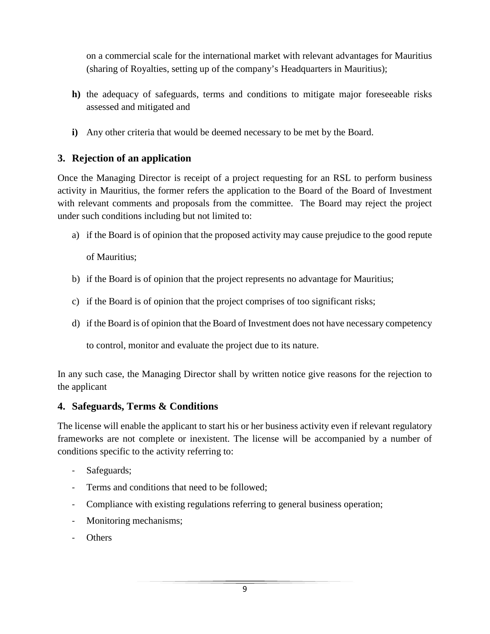on a commercial scale for the international market with relevant advantages for Mauritius (sharing of Royalties, setting up of the company's Headquarters in Mauritius);

- **h)** the adequacy of safeguards, terms and conditions to mitigate major foreseeable risks assessed and mitigated and
- **i)** Any other criteria that would be deemed necessary to be met by the Board.

#### **3. Rejection of an application**

Once the Managing Director is receipt of a project requesting for an RSL to perform business activity in Mauritius, the former refers the application to the Board of the Board of Investment with relevant comments and proposals from the committee. The Board may reject the project under such conditions including but not limited to:

a) if the Board is of opinion that the proposed activity may cause prejudice to the good repute

of Mauritius;

- b) if the Board is of opinion that the project represents no advantage for Mauritius;
- c) if the Board is of opinion that the project comprises of too significant risks;
- d) if the Board is of opinion that the Board of Investment does not have necessary competency

to control, monitor and evaluate the project due to its nature.

In any such case, the Managing Director shall by written notice give reasons for the rejection to the applicant

#### **4. Safeguards, Terms & Conditions**

The license will enable the applicant to start his or her business activity even if relevant regulatory frameworks are not complete or inexistent. The license will be accompanied by a number of conditions specific to the activity referring to:

- Safeguards;
- Terms and conditions that need to be followed;
- Compliance with existing regulations referring to general business operation;
- Monitoring mechanisms;
- Others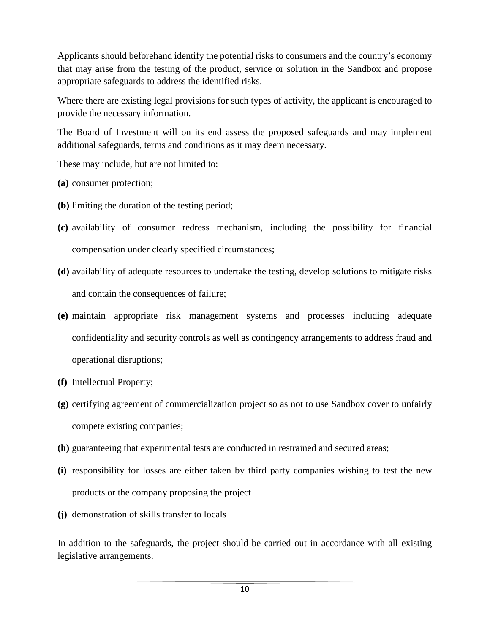Applicants should beforehand identify the potential risks to consumers and the country's economy that may arise from the testing of the product, service or solution in the Sandbox and propose appropriate safeguards to address the identified risks.

Where there are existing legal provisions for such types of activity, the applicant is encouraged to provide the necessary information.

The Board of Investment will on its end assess the proposed safeguards and may implement additional safeguards, terms and conditions as it may deem necessary.

These may include, but are not limited to:

- **(a)** consumer protection;
- **(b)** limiting the duration of the testing period;
- **(c)** availability of consumer redress mechanism, including the possibility for financial compensation under clearly specified circumstances;
- **(d)** availability of adequate resources to undertake the testing, develop solutions to mitigate risks and contain the consequences of failure;
- **(e)** maintain appropriate risk management systems and processes including adequate confidentiality and security controls as well as contingency arrangements to address fraud and operational disruptions;
- **(f)** Intellectual Property;
- **(g)** certifying agreement of commercialization project so as not to use Sandbox cover to unfairly compete existing companies;
- **(h)** guaranteeing that experimental tests are conducted in restrained and secured areas;
- **(i)** responsibility for losses are either taken by third party companies wishing to test the new products or the company proposing the project
- **(j)** demonstration of skills transfer to locals

In addition to the safeguards, the project should be carried out in accordance with all existing legislative arrangements.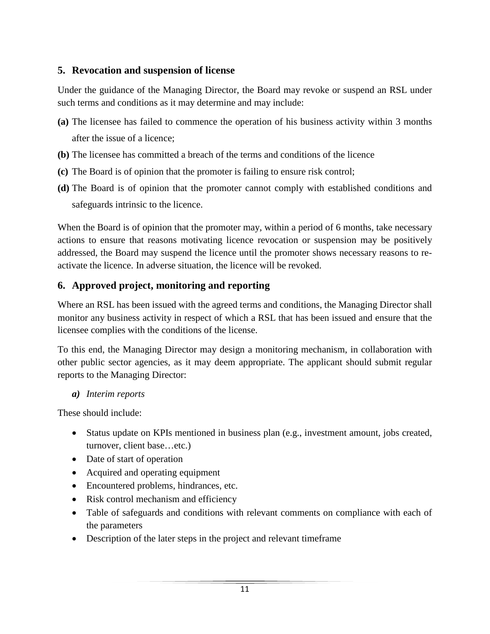## **5. Revocation and suspension of license**

Under the guidance of the Managing Director, the Board may revoke or suspend an RSL under such terms and conditions as it may determine and may include:

- **(a)** The licensee has failed to commence the operation of his business activity within 3 months after the issue of a licence;
- **(b)** The licensee has committed a breach of the terms and conditions of the licence
- **(c)** The Board is of opinion that the promoter is failing to ensure risk control;
- **(d)** The Board is of opinion that the promoter cannot comply with established conditions and safeguards intrinsic to the licence.

When the Board is of opinion that the promoter may, within a period of 6 months, take necessary actions to ensure that reasons motivating licence revocation or suspension may be positively addressed, the Board may suspend the licence until the promoter shows necessary reasons to reactivate the licence. In adverse situation, the licence will be revoked.

## **6. Approved project, monitoring and reporting**

Where an RSL has been issued with the agreed terms and conditions, the Managing Director shall monitor any business activity in respect of which a RSL that has been issued and ensure that the licensee complies with the conditions of the license.

To this end, the Managing Director may design a monitoring mechanism, in collaboration with other public sector agencies, as it may deem appropriate. The applicant should submit regular reports to the Managing Director:

*a) Interim reports*

These should include:

- Status update on KPIs mentioned in business plan (e.g., investment amount, jobs created, turnover, client base…etc.)
- Date of start of operation
- Acquired and operating equipment
- Encountered problems, hindrances, etc.
- Risk control mechanism and efficiency
- Table of safeguards and conditions with relevant comments on compliance with each of the parameters
- Description of the later steps in the project and relevant timeframe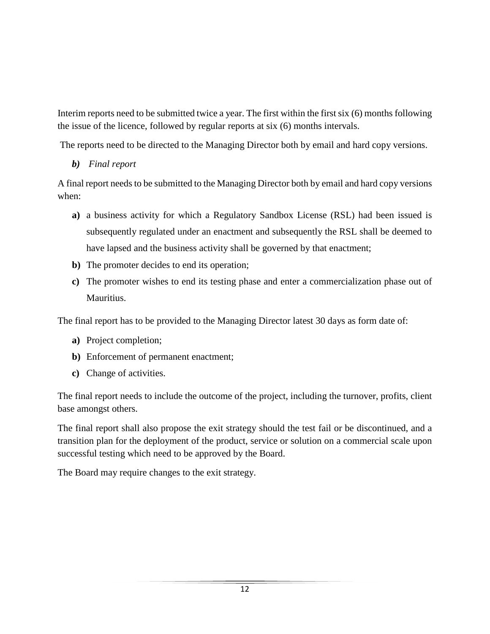Interim reports need to be submitted twice a year. The first within the first six (6) months following the issue of the licence, followed by regular reports at six (6) months intervals.

The reports need to be directed to the Managing Director both by email and hard copy versions.

*b) Final report*

A final report needs to be submitted to the Managing Director both by email and hard copy versions when:

- **a)** a business activity for which a Regulatory Sandbox License (RSL) had been issued is subsequently regulated under an enactment and subsequently the RSL shall be deemed to have lapsed and the business activity shall be governed by that enactment;
- **b)** The promoter decides to end its operation;
- **c)** The promoter wishes to end its testing phase and enter a commercialization phase out of Mauritius.

The final report has to be provided to the Managing Director latest 30 days as form date of:

- **a)** Project completion;
- **b)** Enforcement of permanent enactment;
- **c)** Change of activities.

The final report needs to include the outcome of the project, including the turnover, profits, client base amongst others.

The final report shall also propose the exit strategy should the test fail or be discontinued, and a transition plan for the deployment of the product, service or solution on a commercial scale upon successful testing which need to be approved by the Board.

The Board may require changes to the exit strategy.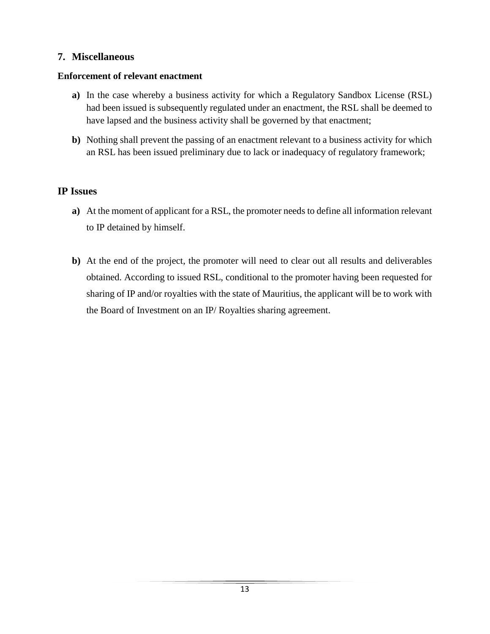## **7. Miscellaneous**

#### **Enforcement of relevant enactment**

- **a)** In the case whereby a business activity for which a Regulatory Sandbox License (RSL) had been issued is subsequently regulated under an enactment, the RSL shall be deemed to have lapsed and the business activity shall be governed by that enactment;
- **b)** Nothing shall prevent the passing of an enactment relevant to a business activity for which an RSL has been issued preliminary due to lack or inadequacy of regulatory framework;

## **IP Issues**

- **a)** At the moment of applicant for a RSL, the promoter needs to define all information relevant to IP detained by himself.
- **b)** At the end of the project, the promoter will need to clear out all results and deliverables obtained. According to issued RSL, conditional to the promoter having been requested for sharing of IP and/or royalties with the state of Mauritius, the applicant will be to work with the Board of Investment on an IP/ Royalties sharing agreement.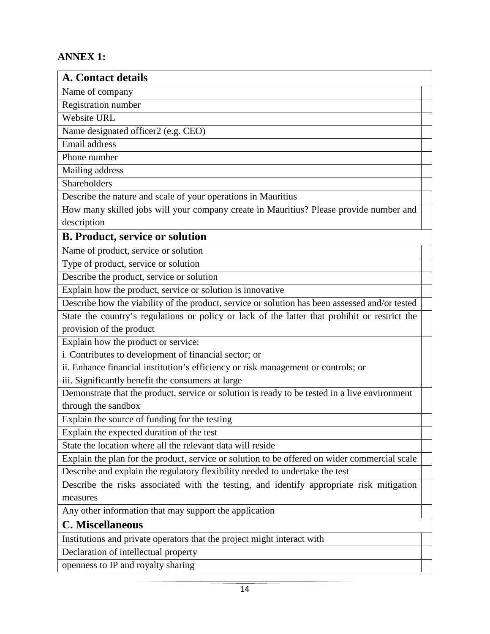## **ANNEX 1:**

| <b>A. Contact details</b>                                                                      |  |  |
|------------------------------------------------------------------------------------------------|--|--|
| Name of company                                                                                |  |  |
| Registration number                                                                            |  |  |
| Website URL                                                                                    |  |  |
| Name designated officer2 (e.g. CEO)                                                            |  |  |
| Email address                                                                                  |  |  |
| Phone number                                                                                   |  |  |
| Mailing address                                                                                |  |  |
| Shareholders                                                                                   |  |  |
| Describe the nature and scale of your operations in Mauritius                                  |  |  |
| How many skilled jobs will your company create in Mauritius? Please provide number and         |  |  |
| description                                                                                    |  |  |
| <b>B. Product, service or solution</b>                                                         |  |  |
| Name of product, service or solution                                                           |  |  |
| Type of product, service or solution                                                           |  |  |
| Describe the product, service or solution                                                      |  |  |
| Explain how the product, service or solution is innovative                                     |  |  |
| Describe how the viability of the product, service or solution has been assessed and/or tested |  |  |
| State the country's regulations or policy or lack of the latter that prohibit or restrict the  |  |  |
| provision of the product                                                                       |  |  |
| Explain how the product or service:                                                            |  |  |
| i. Contributes to development of financial sector; or                                          |  |  |
| ii. Enhance financial institution's efficiency or risk management or controls; or              |  |  |
| iii. Significantly benefit the consumers at large                                              |  |  |
| Demonstrate that the product, service or solution is ready to be tested in a live environment  |  |  |
| through the sandbox                                                                            |  |  |
| Explain the source of funding for the testing                                                  |  |  |
| Explain the expected duration of the test                                                      |  |  |
| State the location where all the relevant data will reside                                     |  |  |
| Explain the plan for the product, service or solution to be offered on wider commercial scale  |  |  |
| Describe and explain the regulatory flexibility needed to undertake the test                   |  |  |
| Describe the risks associated with the testing, and identify appropriate risk mitigation       |  |  |
| measures                                                                                       |  |  |
| Any other information that may support the application                                         |  |  |
| <b>C. Miscellaneous</b>                                                                        |  |  |
| Institutions and private operators that the project might interact with                        |  |  |
| Declaration of intellectual property                                                           |  |  |
| openness to IP and royalty sharing                                                             |  |  |